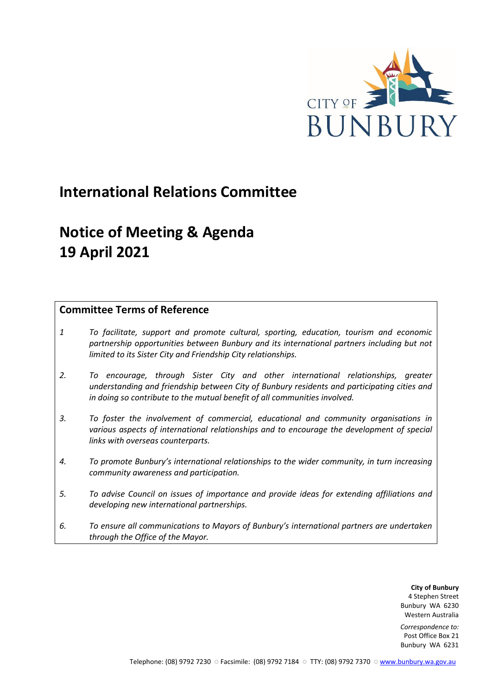

# **International Relations Committee**

# **Notice of Meeting & Agenda 19 April 2021**

# **Committee Terms of Reference**

- *1 To facilitate, support and promote cultural, sporting, education, tourism and economic partnership opportunities between Bunbury and its international partners including but not limited to its Sister City and Friendship City relationships.*
- *2. To encourage, through Sister City and other international relationships, greater understanding and friendship between City of Bunbury residents and participating cities and in doing so contribute to the mutual benefit of all communities involved.*
- *3. To foster the involvement of commercial, educational and community organisations in various aspects of international relationships and to encourage the development of special links with overseas counterparts.*
- *4. To promote Bunbury's international relationships to the wider community, in turn increasing community awareness and participation.*
- *5. To advise Council on issues of importance and provide ideas for extending affiliations and developing new international partnerships.*
- *6. To ensure all communications to Mayors of Bunbury's international partners are undertaken through the Office of the Mayor.*

**City of Bunbury** 4 Stephen Street Bunbury WA 6230 Western Australia

*Correspondence to:* Post Office Box 21 Bunbury WA 6231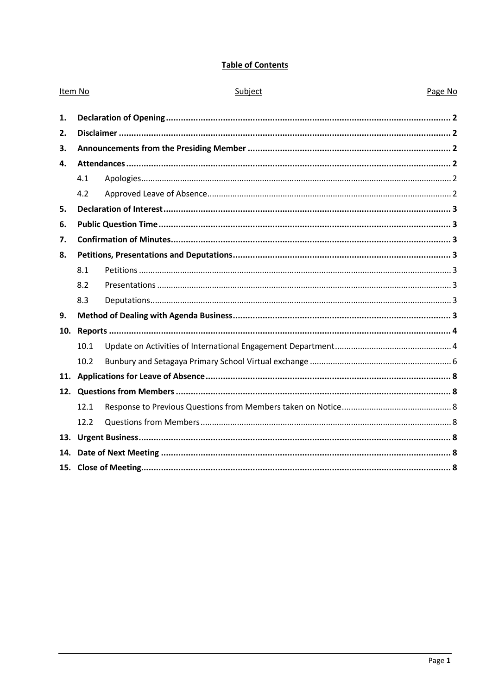# **Table of Contents**

| Item No |      | Subject | Page No |
|---------|------|---------|---------|
| 1.      |      |         |         |
| 2.      |      |         |         |
| 3.      |      |         |         |
| 4.      |      |         |         |
|         | 4.1  |         |         |
|         | 4.2  |         |         |
| 5.      |      |         |         |
| 6.      |      |         |         |
| 7.      |      |         |         |
| 8.      |      |         |         |
|         | 8.1  |         |         |
|         | 8.2  |         |         |
|         | 8.3  |         |         |
| 9.      |      |         |         |
| 10.     |      |         |         |
|         | 10.1 |         |         |
|         | 10.2 |         |         |
| 11.     |      |         |         |
|         |      |         |         |
|         | 12.1 |         |         |
|         | 12.2 |         |         |
|         |      |         |         |
| 14.     |      |         |         |
|         |      |         |         |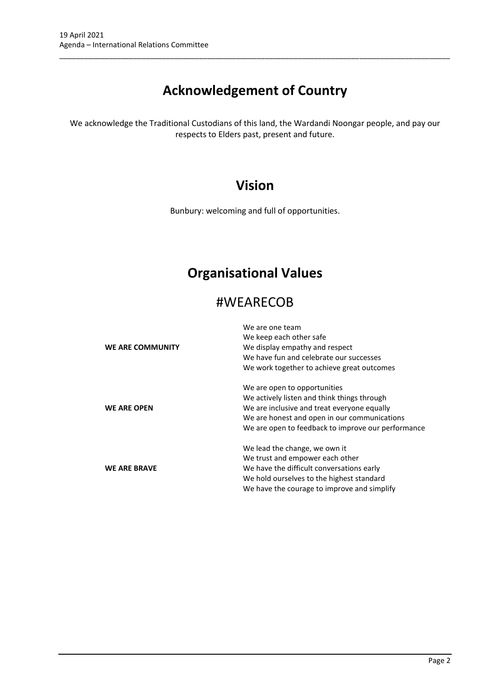# **Acknowledgement of Country**

\_\_\_\_\_\_\_\_\_\_\_\_\_\_\_\_\_\_\_\_\_\_\_\_\_\_\_\_\_\_\_\_\_\_\_\_\_\_\_\_\_\_\_\_\_\_\_\_\_\_\_\_\_\_\_\_\_\_\_\_\_\_\_\_\_\_\_\_\_\_\_\_\_\_\_\_\_\_\_\_\_\_\_\_\_\_\_\_\_\_\_\_\_\_\_

We acknowledge the Traditional Custodians of this land, the Wardandi Noongar people, and pay our respects to Elders past, present and future.

# **Vision**

Bunbury: welcoming and full of opportunities.

# **Organisational Values**

# #WEARECOB

|                         | We are one team                                    |
|-------------------------|----------------------------------------------------|
|                         | We keep each other safe                            |
| <b>WE ARE COMMUNITY</b> | We display empathy and respect                     |
|                         | We have fun and celebrate our successes            |
|                         | We work together to achieve great outcomes         |
|                         | We are open to opportunities                       |
|                         | We actively listen and think things through        |
| <b>WE ARE OPEN</b>      | We are inclusive and treat everyone equally        |
|                         | We are honest and open in our communications       |
|                         | We are open to feedback to improve our performance |
|                         | We lead the change, we own it                      |
|                         | We trust and empower each other                    |
| <b>WE ARE BRAVE</b>     | We have the difficult conversations early          |
|                         | We hold ourselves to the highest standard          |
|                         | We have the courage to improve and simplify        |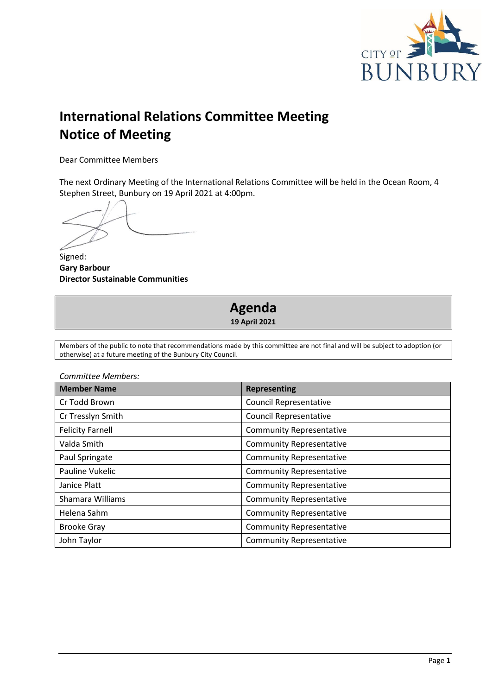

# **International Relations Committee Meeting Notice of Meeting**

Dear Committee Members

The next Ordinary Meeting of the International Relations Committee will be held in the Ocean Room, 4 Stephen Street, Bunbury on 19 April 2021 at 4:00pm.

Signed: **Gary Barbour Director Sustainable Communities**

# **Agenda 19 April 2021**

Members of the public to note that recommendations made by this committee are not final and will be subject to adoption (or otherwise) at a future meeting of the Bunbury City Council.

| Committee Members:      |                                 |  |
|-------------------------|---------------------------------|--|
| <b>Member Name</b>      | <b>Representing</b>             |  |
| Cr Todd Brown           | <b>Council Representative</b>   |  |
| Cr Tresslyn Smith       | <b>Council Representative</b>   |  |
| <b>Felicity Farnell</b> | <b>Community Representative</b> |  |
| Valda Smith             | <b>Community Representative</b> |  |
| Paul Springate          | <b>Community Representative</b> |  |
| Pauline Vukelic         | <b>Community Representative</b> |  |
| Janice Platt            | <b>Community Representative</b> |  |
| Shamara Williams        | <b>Community Representative</b> |  |
| Helena Sahm             | <b>Community Representative</b> |  |
| <b>Brooke Gray</b>      | <b>Community Representative</b> |  |
| John Taylor             | <b>Community Representative</b> |  |

Page **1**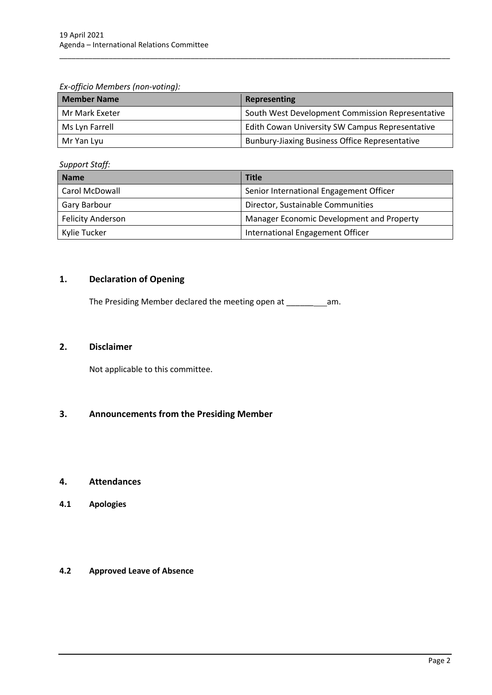*Ex-officio Members (non-voting):*

| <b>Member Name</b> | Representing                                          |
|--------------------|-------------------------------------------------------|
| Mr Mark Exeter     | South West Development Commission Representative      |
| Ms Lyn Farrell     | Edith Cowan University SW Campus Representative       |
| Mr Yan Lyu         | <b>Bunbury-Jiaxing Business Office Representative</b> |

\_\_\_\_\_\_\_\_\_\_\_\_\_\_\_\_\_\_\_\_\_\_\_\_\_\_\_\_\_\_\_\_\_\_\_\_\_\_\_\_\_\_\_\_\_\_\_\_\_\_\_\_\_\_\_\_\_\_\_\_\_\_\_\_\_\_\_\_\_\_\_\_\_\_\_\_\_\_\_\_\_\_\_\_\_\_\_\_\_\_\_\_\_\_\_

*Support Staff:*

| <b>Name</b>              | <b>Title</b>                              |  |
|--------------------------|-------------------------------------------|--|
| Carol McDowall           | Senior International Engagement Officer   |  |
| Gary Barbour             | Director, Sustainable Communities         |  |
| <b>Felicity Anderson</b> | Manager Economic Development and Property |  |
| Kylie Tucker             | International Engagement Officer          |  |

# <span id="page-4-0"></span>**1. Declaration of Opening**

The Presiding Member declared the meeting open at \_\_\_\_\_\_ am.

### <span id="page-4-1"></span>**2. Disclaimer**

Not applicable to this committee.

# <span id="page-4-2"></span>**3. Announcements from the Presiding Member**

## <span id="page-4-3"></span>**4. Attendances**

<span id="page-4-4"></span>**4.1 Apologies**

#### <span id="page-4-5"></span>**4.2 Approved Leave of Absence**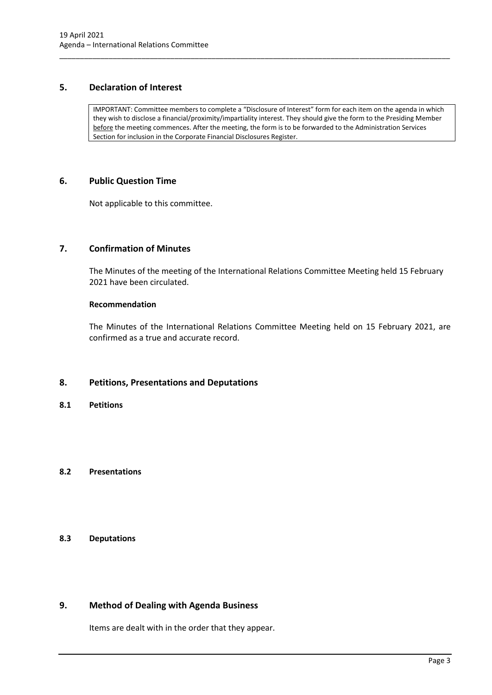## <span id="page-5-0"></span>**5. Declaration of Interest**

IMPORTANT: Committee members to complete a "Disclosure of Interest" form for each item on the agenda in which they wish to disclose a financial/proximity/impartiality interest. They should give the form to the Presiding Member before the meeting commences. After the meeting, the form is to be forwarded to the Administration Services Section for inclusion in the Corporate Financial Disclosures Register.

\_\_\_\_\_\_\_\_\_\_\_\_\_\_\_\_\_\_\_\_\_\_\_\_\_\_\_\_\_\_\_\_\_\_\_\_\_\_\_\_\_\_\_\_\_\_\_\_\_\_\_\_\_\_\_\_\_\_\_\_\_\_\_\_\_\_\_\_\_\_\_\_\_\_\_\_\_\_\_\_\_\_\_\_\_\_\_\_\_\_\_\_\_\_\_

#### <span id="page-5-1"></span>**6. Public Question Time**

Not applicable to this committee.

## <span id="page-5-2"></span>**7. Confirmation of Minutes**

The Minutes of the meeting of the International Relations Committee Meeting held 15 February 2021 have been circulated.

#### **Recommendation**

The Minutes of the International Relations Committee Meeting held on 15 February 2021, are confirmed as a true and accurate record.

## <span id="page-5-3"></span>**8. Petitions, Presentations and Deputations**

<span id="page-5-4"></span>**8.1 Petitions**

#### <span id="page-5-5"></span>**8.2 Presentations**

## <span id="page-5-6"></span>**8.3 Deputations**

## <span id="page-5-7"></span>**9. Method of Dealing with Agenda Business**

Items are dealt with in the order that they appear.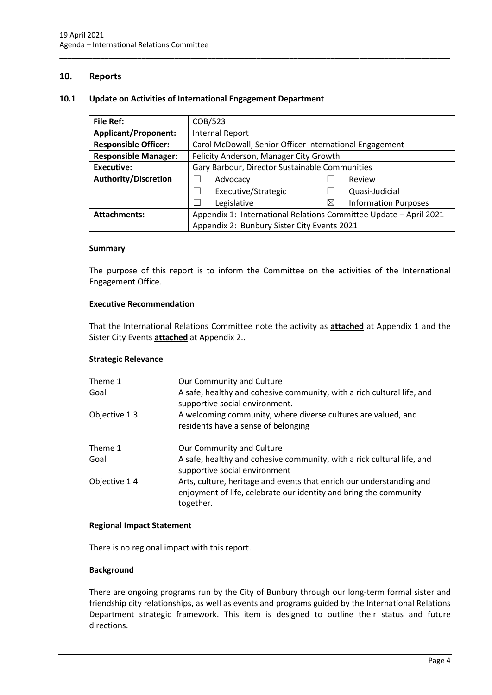#### <span id="page-6-0"></span>**10. Reports**

#### <span id="page-6-1"></span>**10.1 Update on Activities of International Engagement Department**

| <b>File Ref:</b>            | COB/523                                                           |          |                             |
|-----------------------------|-------------------------------------------------------------------|----------|-----------------------------|
| <b>Applicant/Proponent:</b> | <b>Internal Report</b>                                            |          |                             |
| <b>Responsible Officer:</b> | Carol McDowall, Senior Officer International Engagement           |          |                             |
| <b>Responsible Manager:</b> | Felicity Anderson, Manager City Growth                            |          |                             |
| Executive:                  | Gary Barbour, Director Sustainable Communities                    |          |                             |
| <b>Authority/Discretion</b> | Advocacy                                                          |          | Review                      |
|                             | Executive/Strategic                                               |          | Quasi-Judicial              |
|                             | Legislative                                                       | $\times$ | <b>Information Purposes</b> |
| <b>Attachments:</b>         | Appendix 1: International Relations Committee Update - April 2021 |          |                             |
|                             | Appendix 2: Bunbury Sister City Events 2021                       |          |                             |

\_\_\_\_\_\_\_\_\_\_\_\_\_\_\_\_\_\_\_\_\_\_\_\_\_\_\_\_\_\_\_\_\_\_\_\_\_\_\_\_\_\_\_\_\_\_\_\_\_\_\_\_\_\_\_\_\_\_\_\_\_\_\_\_\_\_\_\_\_\_\_\_\_\_\_\_\_\_\_\_\_\_\_\_\_\_\_\_\_\_\_\_\_\_\_

#### **Summary**

The purpose of this report is to inform the Committee on the activities of the International Engagement Office.

#### **Executive Recommendation**

That the International Relations Committee note the activity as **attached** at Appendix 1 and the Sister City Events **attached** at Appendix 2..

#### **Strategic Relevance**

| Theme 1<br>Goal | Our Community and Culture<br>A safe, healthy and cohesive community, with a rich cultural life, and<br>supportive social environment.<br>A welcoming community, where diverse cultures are valued, and<br>residents have a sense of belonging |  |  |
|-----------------|-----------------------------------------------------------------------------------------------------------------------------------------------------------------------------------------------------------------------------------------------|--|--|
| Objective 1.3   |                                                                                                                                                                                                                                               |  |  |
| Theme 1         | Our Community and Culture                                                                                                                                                                                                                     |  |  |
| Goal            | A safe, healthy and cohesive community, with a rick cultural life, and<br>supportive social environment                                                                                                                                       |  |  |
| Objective 1.4   | Arts, culture, heritage and events that enrich our understanding and<br>enjoyment of life, celebrate our identity and bring the community<br>together.                                                                                        |  |  |

#### **Regional Impact Statement**

There is no regional impact with this report.

#### **Background**

There are ongoing programs run by the City of Bunbury through our long-term formal sister and friendship city relationships, as well as events and programs guided by the International Relations Department strategic framework. This item is designed to outline their status and future directions.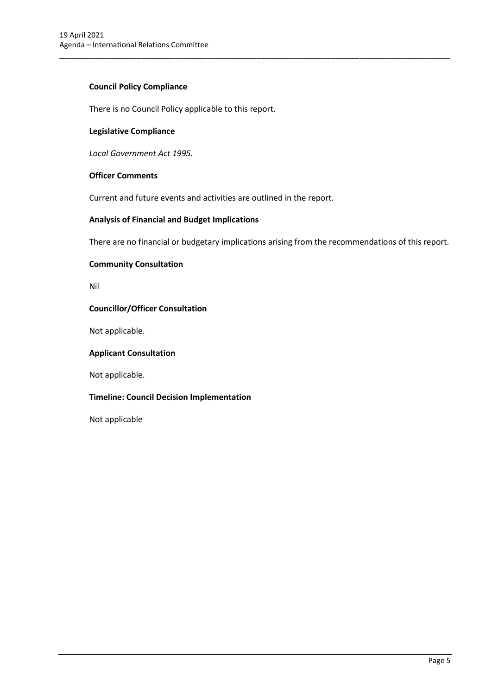### **Council Policy Compliance**

There is no Council Policy applicable to this report.

#### **Legislative Compliance**

*Local Government Act 1995.*

#### **Officer Comments**

Current and future events and activities are outlined in the report.

#### **Analysis of Financial and Budget Implications**

There are no financial or budgetary implications arising from the recommendations of this report.

\_\_\_\_\_\_\_\_\_\_\_\_\_\_\_\_\_\_\_\_\_\_\_\_\_\_\_\_\_\_\_\_\_\_\_\_\_\_\_\_\_\_\_\_\_\_\_\_\_\_\_\_\_\_\_\_\_\_\_\_\_\_\_\_\_\_\_\_\_\_\_\_\_\_\_\_\_\_\_\_\_\_\_\_\_\_\_\_\_\_\_\_\_\_\_

#### **Community Consultation**

Nil

#### **Councillor/Officer Consultation**

Not applicable.

#### **Applicant Consultation**

Not applicable.

#### **Timeline: Council Decision Implementation**

Not applicable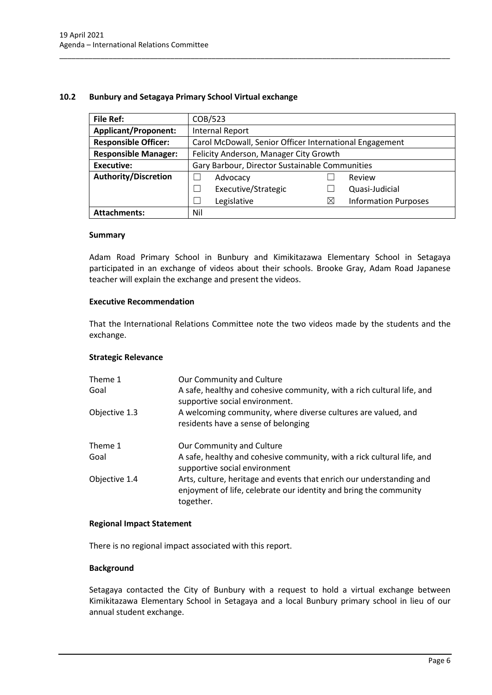#### <span id="page-8-0"></span>**10.2 Bunbury and Setagaya Primary School Virtual exchange**

| <b>File Ref:</b>            | COB/523                                                 |           |                             |
|-----------------------------|---------------------------------------------------------|-----------|-----------------------------|
| <b>Applicant/Proponent:</b> | <b>Internal Report</b>                                  |           |                             |
| <b>Responsible Officer:</b> | Carol McDowall, Senior Officer International Engagement |           |                             |
| <b>Responsible Manager:</b> | Felicity Anderson, Manager City Growth                  |           |                             |
| <b>Executive:</b>           | Gary Barbour, Director Sustainable Communities          |           |                             |
| <b>Authority/Discretion</b> | Advocacy                                                |           | Review                      |
|                             | Executive/Strategic                                     |           | Quasi-Judicial              |
|                             | Legislative                                             | $\bowtie$ | <b>Information Purposes</b> |
| <b>Attachments:</b>         | Nil                                                     |           |                             |

\_\_\_\_\_\_\_\_\_\_\_\_\_\_\_\_\_\_\_\_\_\_\_\_\_\_\_\_\_\_\_\_\_\_\_\_\_\_\_\_\_\_\_\_\_\_\_\_\_\_\_\_\_\_\_\_\_\_\_\_\_\_\_\_\_\_\_\_\_\_\_\_\_\_\_\_\_\_\_\_\_\_\_\_\_\_\_\_\_\_\_\_\_\_\_

#### **Summary**

Adam Road Primary School in Bunbury and Kimikitazawa Elementary School in Setagaya participated in an exchange of videos about their schools. Brooke Gray, Adam Road Japanese teacher will explain the exchange and present the videos.

#### **Executive Recommendation**

That the International Relations Committee note the two videos made by the students and the exchange.

#### **Strategic Relevance**

| Theme 1<br>Goal | Our Community and Culture<br>A safe, healthy and cohesive community, with a rich cultural life, and<br>supportive social environment.                  |  |  |
|-----------------|--------------------------------------------------------------------------------------------------------------------------------------------------------|--|--|
| Objective 1.3   | A welcoming community, where diverse cultures are valued, and<br>residents have a sense of belonging                                                   |  |  |
| Theme 1         | Our Community and Culture                                                                                                                              |  |  |
| Goal            | A safe, healthy and cohesive community, with a rick cultural life, and<br>supportive social environment                                                |  |  |
| Objective 1.4   | Arts, culture, heritage and events that enrich our understanding and<br>enjoyment of life, celebrate our identity and bring the community<br>together. |  |  |

#### **Regional Impact Statement**

There is no regional impact associated with this report.

#### **Background**

Setagaya contacted the City of Bunbury with a request to hold a virtual exchange between Kimikitazawa Elementary School in Setagaya and a local Bunbury primary school in lieu of our annual student exchange.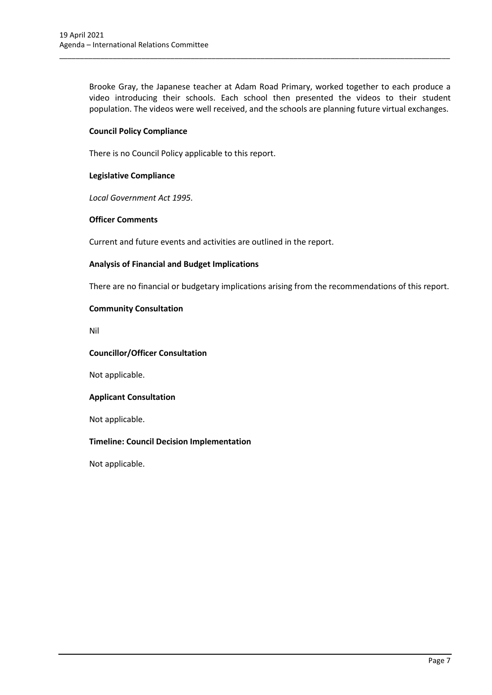Brooke Gray, the Japanese teacher at Adam Road Primary, worked together to each produce a video introducing their schools. Each school then presented the videos to their student population. The videos were well received, and the schools are planning future virtual exchanges.

\_\_\_\_\_\_\_\_\_\_\_\_\_\_\_\_\_\_\_\_\_\_\_\_\_\_\_\_\_\_\_\_\_\_\_\_\_\_\_\_\_\_\_\_\_\_\_\_\_\_\_\_\_\_\_\_\_\_\_\_\_\_\_\_\_\_\_\_\_\_\_\_\_\_\_\_\_\_\_\_\_\_\_\_\_\_\_\_\_\_\_\_\_\_\_

#### **Council Policy Compliance**

There is no Council Policy applicable to this report.

#### **Legislative Compliance**

*Local Government Act 1995.*

#### **Officer Comments**

Current and future events and activities are outlined in the report.

#### **Analysis of Financial and Budget Implications**

There are no financial or budgetary implications arising from the recommendations of this report.

#### **Community Consultation**

Nil

#### **Councillor/Officer Consultation**

Not applicable.

#### **Applicant Consultation**

Not applicable.

#### **Timeline: Council Decision Implementation**

Not applicable.